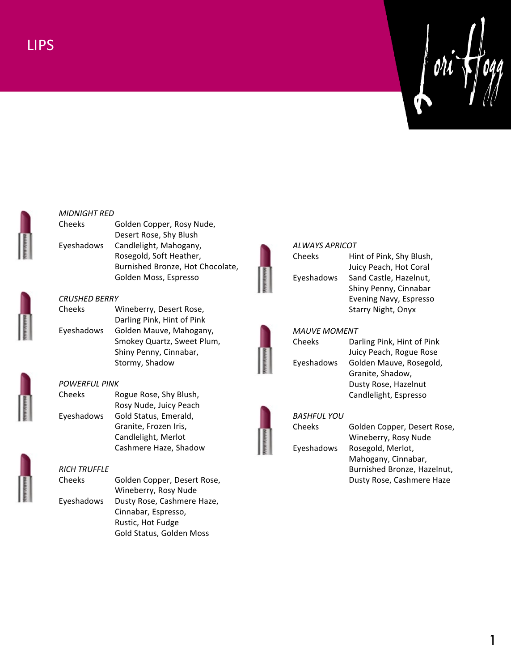



### *CRUSHED BERRY* Cheeks Wineberry, Desert Rose, Darling Pink, Hint of Pink Eyeshadows Golden Mauve, Mahogany, Smokey Quartz, Sweet Plum, Shiny Penny, Cinnabar, Stormy, Shadow

Cheeks Golden Copper, Rosy Nude,

Eyeshadows Candlelight, Mahogany,

Desert Rose, Shy Blush

Rosegold, Soft Heather,

Golden Moss, Espresso

Burnished Bronze, Hot Chocolate,

| ş      |        |
|--------|--------|
|        |        |
|        |        |
| ı      |        |
| í<br>٠ |        |
| ٠<br>ı |        |
|        |        |
|        |        |
|        |        |
|        | ٠<br>ţ |

# *POWERFUL PINK*

*MIDNIGHT RED*

Cheeks Rogue Rose, Shy Blush, Rosy Nude, Juicy Peach Eyeshadows Gold Status, Emerald, Granite, Frozen Iris, Candlelight, Merlot Cashmere Haze, Shadow

# *RICH TRUFFLE*

| Cheeks     | Golden Copper, Desert Rose, |  |
|------------|-----------------------------|--|
|            | Wineberry, Rosy Nude        |  |
| Eyeshadows | Dusty Rose, Cashmere Haze,  |  |
|            | Cinnabar, Espresso,         |  |
|            | Rustic, Hot Fudge           |  |
|            | Gold Status, Golden Moss    |  |

### *ALWAYS APRICOT*

Cheeks Hint of Pink, Shy Blush, Juicy Peach, Hot Coral Eyeshadows Sand Castle, Hazelnut, Shiny Penny, Cinnabar Evening Navy, Espresso Starry Night, Onyx



# *MAUVE MOMENT*

Cheeks Darling Pink, Hint of Pink Juicy Peach, Rogue Rose Eyeshadows Golden Mauve, Rosegold, Granite, Shadow, Dusty Rose, Hazelnut Candlelight, Espresso



## *BASHFUL YOU*

Cheeks Golden Copper, Desert Rose, Wineberry, Rosy Nude Eyeshadows Rosegold, Merlot, Mahogany, Cinnabar, Burnished Bronze, Hazelnut, Dusty Rose, Cashmere Haze